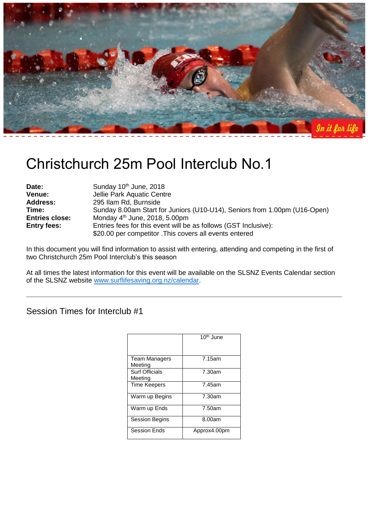

# Christchurch 25m Pool Interclub No.1

| Date:                 | Sunday 10 <sup>th</sup> June, 2018                                        |  |
|-----------------------|---------------------------------------------------------------------------|--|
| Venue:                | Jellie Park Aquatic Centre                                                |  |
| <b>Address:</b>       | 295 Ilam Rd, Burnside                                                     |  |
| Time:                 | Sunday 8.00am Start for Juniors (U10-U14), Seniors from 1.00pm (U16-Open) |  |
| <b>Entries close:</b> | Monday $4th$ June, 2018, 5.00pm                                           |  |
| <b>Entry fees:</b>    | Entries fees for this event will be as follows (GST Inclusive):           |  |
|                       | \$20.00 per competitor . This covers all events entered                   |  |

In this document you will find information to assist with entering, attending and competing in the first of two Christchurch 25m Pool Interclub's this season

At all times the latest information for this event will be available on the SLSNZ Events Calendar section of the SLSNZ website [www.surflifesaving.org.nz/calendar.](http://www.surflifesaving.org.nz/calendar)

## Session Times for Interclub #1

|                                  | 10 <sup>th</sup> June |
|----------------------------------|-----------------------|
| <b>Team Managers</b><br>Meetina  | 7.15am                |
| <b>Surf Officials</b><br>Meeting | 7.30am                |
| <b>Time Keepers</b>              | 7.45am                |
| Warm up Begins                   | 7.30am                |
| Warm up Ends                     | 7.50am                |
| <b>Session Begins</b>            | 8.00am                |
| <b>Session Ends</b>              | Approx4.00pm          |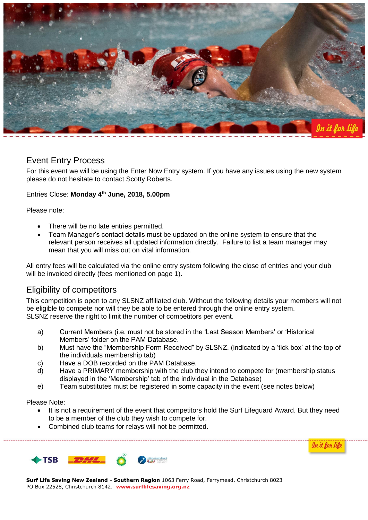

## Event Entry Process

For this event we will be using the Enter Now Entry system. If you have any issues using the new system please do not hesitate to contact Scotty Roberts.

#### Entries Close: **Monday 4th June, 2018, 5.00pm**

Please note:

- There will be no late entries permitted.
- Team Manager's contact details must be updated on the online system to ensure that the relevant person receives all updated information directly. Failure to list a team manager may mean that you will miss out on vital information.

All entry fees will be calculated via the online entry system following the close of entries and your club will be invoiced directly (fees mentioned on page 1).

## Eligibility of competitors

This competition is open to any SLSNZ affiliated club. Without the following details your members will not be eligible to compete nor will they be able to be entered through the online entry system. SLSNZ reserve the right to limit the number of competitors per event.

- a) Current Members (i.e. must not be stored in the 'Last Season Members' or 'Historical Members' folder on the PAM Database.
- b) Must have the "Membership Form Received" by SLSNZ. (indicated by a 'tick box' at the top of the individuals membership tab)
- c) Have a DOB recorded on the PAM Database.
- d) Have a PRIMARY membership with the club they intend to compete for (membership status displayed in the 'Membership' tab of the individual in the Database)
- e) Team substitutes must be registered in some capacity in the event (see notes below)

Please Note:

• It is not a requirement of the event that competitors hold the Surf Lifeguard Award. But they need to be a member of the club they wish to compete for.

In it for life

Combined club teams for relays will not be permitted.

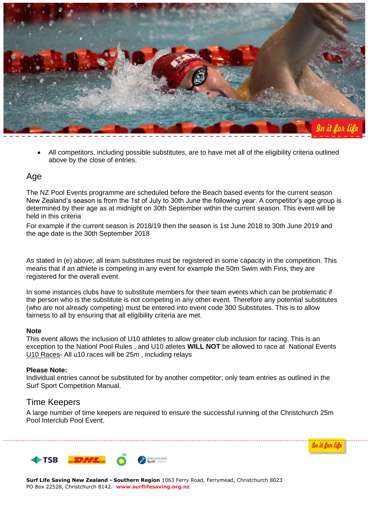

 All competitors, including possible substitutes, are to have met all of the eligibility criteria outlined above by the close of entries.

### Age

The NZ Pool Events programme are scheduled before the Beach based events for the current season New Zealand's season is from the 1st of July to 30th June the following year. A competitor's age group is determined by their age as at midnight on 30th September within the current season. This event will be held in this criteria

For example if the current season is 2018/19 then the season is 1st June 2018 to 30th June 2019 and the age date is the 30th September 2018

As stated in (e) above, all team substitutes must be registered in some capacity in the competition. This means that if an athlete is competing in any event for example the 50m Swim with Fins, they are registered for the overall event.

In some instances clubs have to substitute members for their team events which can be problematic if the person who is the substitute is not competing in any other event. Therefore any potential substitutes (who are not already competing) must be entered into event code 300 Substitutes. This is to allow fairness to all by ensuring that all eligibility criteria are met.

#### **Note**

This event allows the inclusion of U10 athletes to allow greater club inclusion for racing. This is an exception to the Nationl Pool Rules , and U10 atletes **WILL NOT** be allowed to race at National Events U10 Races- All u10 races will be 25m , including relays

#### **Please Note:**

Individual entries cannot be substituted for by another competitor; only team entries as outlined in the Surf Sport Competition Manual.

#### Time Keepers

A large number of time keepers are required to ensure the successful running of the Christchurch 25m Pool Interclub Pool Event.



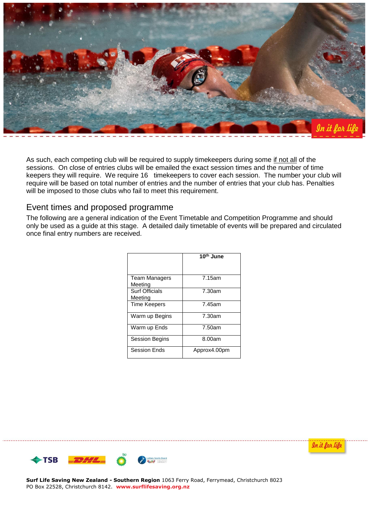

As such, each competing club will be required to supply timekeepers during some if not all of the sessions. On close of entries clubs will be emailed the exact session times and the number of time keepers they will require. We require 16 timekeepers to cover each session. The number your club will require will be based on total number of entries and the number of entries that your club has. Penalties will be imposed to those clubs who fail to meet this requirement.

## Event times and proposed programme

The following are a general indication of the Event Timetable and Competition Programme and should only be used as a guide at this stage. A detailed daily timetable of events will be prepared and circulated once final entry numbers are received.

|                                  | 10 <sup>th</sup> June |
|----------------------------------|-----------------------|
| <b>Team Managers</b><br>Meeting  | 7.15am                |
| <b>Surf Officials</b><br>Meeting | 7.30am                |
| Time Keepers                     | 7.45am                |
| Warm up Begins                   | 7.30am                |
| Warm up Ends                     | 7.50am                |
| <b>Session Begins</b>            | 8.00am                |
| <b>Session Ends</b>              | Approx4.00pm          |

In it for life

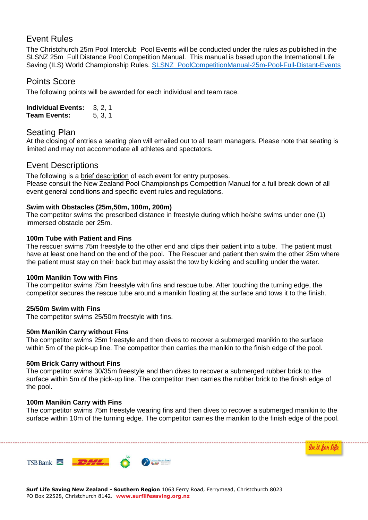## Event Rules

The Christchurch 25m Pool Interclub Pool Events will be conducted under the rules as published in the SLSNZ 25m Full Distance Pool Competition Manual. This manual is based upon the International Life Saving (ILS) World Championship Rules. [SLSNZ\\_PoolCompetitionManual-25m-Pool-Full-Distant-Events](https://www.surflifesaving.org.nz/media/858808/201705_SLSNZ_PoolCompetitionManual-25m-Pool-Full-Distant-Events-.pdf)

## Points Score

The following points will be awarded for each individual and team race.

| <b>Individual Events:</b> | 3, 2, 1 |
|---------------------------|---------|
| <b>Team Events:</b>       | 5, 3, 1 |

## Seating Plan

At the closing of entries a seating plan will emailed out to all team managers. Please note that seating is limited and may not accommodate all athletes and spectators.

## Event Descriptions

The following is a brief description of each event for entry purposes. Please consult the New Zealand Pool Championships Competition Manual for a full break down of all event general conditions and specific event rules and regulations.

#### **Swim with Obstacles (25m,50m, 100m, 200m)**

The competitor swims the prescribed distance in freestyle during which he/she swims under one (1) immersed obstacle per 25m.

#### **100m Tube with Patient and Fins**

The rescuer swims 75m freestyle to the other end and clips their patient into a tube. The patient must have at least one hand on the end of the pool. The Rescuer and patient then swim the other 25m where the patient must stay on their back but may assist the tow by kicking and sculling under the water.

#### **100m Manikin Tow with Fins**

The competitor swims 75m freestyle with fins and rescue tube. After touching the turning edge, the competitor secures the rescue tube around a manikin floating at the surface and tows it to the finish.

#### **25/50m Swim with Fins**

The competitor swims 25/50m freestyle with fins.

#### **50m Manikin Carry without Fins**

The competitor swims 25m freestyle and then dives to recover a submerged manikin to the surface within 5m of the pick-up line. The competitor then carries the manikin to the finish edge of the pool.

#### **50m Brick Carry without Fins**

The competitor swims 30/35m freestyle and then dives to recover a submerged rubber brick to the surface within 5m of the pick-up line. The competitor then carries the rubber brick to the finish edge of the pool.

#### **100m Manikin Carry with Fins**

The competitor swims 75m freestyle wearing fins and then dives to recover a submerged manikin to the surface within 10m of the turning edge. The competitor carries the manikin to the finish edge of the pool.

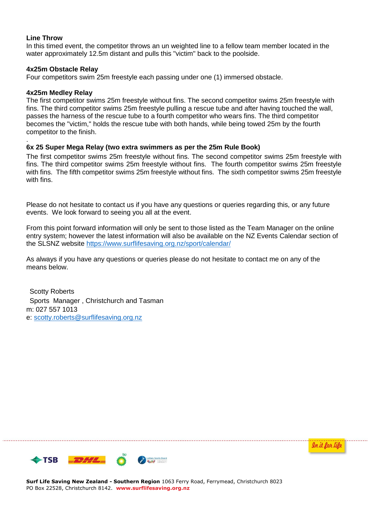#### **Line Throw**

.

In this timed event, the competitor throws an un weighted line to a fellow team member located in the water approximately 12.5m distant and pulls this "victim" back to the poolside.

#### **4x25m Obstacle Relay**

Four competitors swim 25m freestyle each passing under one (1) immersed obstacle.

#### **4x25m Medley Relay**

The first competitor swims 25m freestyle without fins. The second competitor swims 25m freestyle with fins. The third competitor swims 25m freestyle pulling a rescue tube and after having touched the wall, passes the harness of the rescue tube to a fourth competitor who wears fins. The third competitor becomes the "victim," holds the rescue tube with both hands, while being towed 25m by the fourth competitor to the finish.

#### **6x 25 Super Mega Relay (two extra swimmers as per the 25m Rule Book)**

The first competitor swims 25m freestyle without fins. The second competitor swims 25m freestyle with fins. The third competitor swims 25m freestyle without fins. The fourth competitor swims 25m freestyle with fins. The fifth competitor swims 25m freestyle without fins. The sixth competitor swims 25m freestyle with fins.

Please do not hesitate to contact us if you have any questions or queries regarding this, or any future events. We look forward to seeing you all at the event.

From this point forward information will only be sent to those listed as the Team Manager on the online entry system; however the latest information will also be available on the NZ Events Calendar section of the SLSNZ website<https://www.surflifesaving.org.nz/sport/calendar/>

As always if you have any questions or queries please do not hesitate to contact me on any of the means below.

Scotty Roberts Sports Manager , Christchurch and Tasman m: 027 557 1013 e: [scotty.roberts@surflifesaving.org.nz](mailto:scotty.roberts@surflifesaving.org.nz)



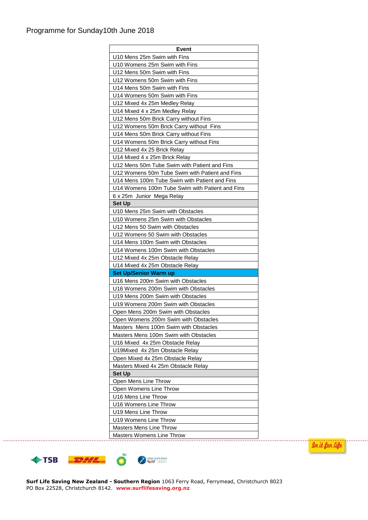## Programme for Sunday10th June 2018

| Event                                           |
|-------------------------------------------------|
| U10 Mens 25m Swim with Fins                     |
| U10 Womens 25m Swim with Fins                   |
| U12 Mens 50m Swim with Fins                     |
| U12 Womens 50m Swim with Fins                   |
| U14 Mens 50m Swim with Fins                     |
| U14 Womens 50m Swim with Fins                   |
| U12 Mixed 4x 25m Medley Relay                   |
| U14 Mixed 4 x 25m Medley Relay                  |
| U12 Mens 50m Brick Carry without Fins           |
| U12 Womens 50m Brick Carry without Fins         |
| U14 Mens 50m Brick Carry without Fins           |
| U14 Womens 50m Brick Carry without Fins         |
| U12 Mixed 4x 25 Brick Relay                     |
| U14 Mixed 4 x 25m Brick Relay                   |
| U12 Mens 50m Tube Swim with Patient and Fins    |
| U12 Womens 50m Tube Swim with Patient and Fins  |
| U14 Mens 100m Tube Swim with Patient and Fins   |
| U14 Womens 100m Tube Swim with Patient and Fins |
| 6 x 25m Junior Mega Relay                       |
| <b>Set Up</b>                                   |
| U10 Mens 25m Swim with Obstacles                |
| U10 Womens 25m Swim with Obstacles              |
| U12 Mens 50 Swim with Obstacles                 |
| U12 Womens 50 Swim with Obstacles               |
| U14 Mens 100m Swim with Obstacles               |
| U14 Womens 100m Swim with Obstacles             |
| U12 Mixed 4x 25m Obstacle Relay                 |
| U14 Mixed 4x 25m Obstacle Relay                 |
| <b>Set Up/Senior Warm up</b>                    |
| U16 Mens 200m Swim with Obstacles               |
| U16 Womens 200m Swim with Obstacles             |
| U19 Mens 200m Swim with Obstacles               |
| U19 Womens 200m Swim with Obstacles             |
| Open Mens 200m Swim with Obstacles              |
| Open Womens 200m Swim with Obstacles            |
| Masters Mens 100m Swim with Obstacles           |
| Masters Mens 100m Swim with Obstacles           |
| U16 Mixed 4x 25m Obstacle Relay                 |
| U19Mixed 4x 25m Obstacle Relay                  |
| Open Mixed 4x 25m Obstacle Relay                |
| Masters Mixed 4x 25m Obstacle Relay             |
| Set Up                                          |
| Open Mens Line Throw                            |
| Open Womens Line Throw                          |
| U16 Mens Line Throw                             |
| U16 Womens Line Throw                           |
| U19 Mens Line Throw                             |
| U19 Womens Line Throw                           |
| Masters Mens Line Throw                         |
| Masters Womens Line Throw                       |
|                                                 |



In it far life